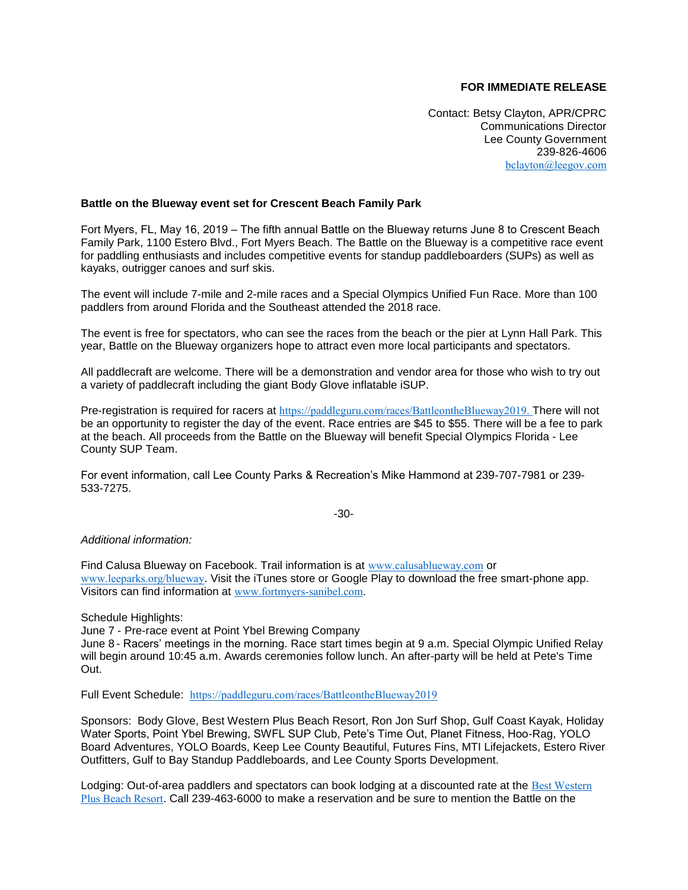## **FOR IMMEDIATE RELEASE**

Contact: Betsy Clayton, APR/CPRC Communications Director Lee County Government 239-826-4606 [bclayton@leegov.com](mailto:bclayton@leegov.com)

## **Battle on the Blueway event set for Crescent Beach Family Park**

Fort Myers, FL, May 16, 2019 – The fifth annual Battle on the Blueway returns June 8 to Crescent Beach Family Park, 1100 Estero Blvd., Fort Myers Beach. The Battle on the Blueway is a competitive race event for paddling enthusiasts and includes competitive events for standup paddleboarders (SUPs) as well as kayaks, outrigger canoes and surf skis.

The event will include 7-mile and 2-mile races and a Special Olympics Unified Fun Race. More than 100 paddlers from around Florida and the Southeast attended the 2018 race.

The event is free for spectators, who can see the races from the beach or the pier at Lynn Hall Park. This year, Battle on the Blueway organizers hope to attract even more local participants and spectators.

All paddlecraft are welcome. There will be a demonstration and vendor area for those who wish to try out a variety of paddlecraft including the giant Body Glove inflatable iSUP.

Pre-registration is required for racers at [https://paddleguru.com/races/BattleontheBlueway2019.](https://paddleguru.com/races/BattleontheBlueway2019) There will not be an opportunity to register the day of the event. Race entries are \$45 to \$55. There will be a fee to park at the beach. All proceeds from the Battle on the Blueway will benefit Special Olympics Florida - Lee County SUP Team.

For event information, call Lee County Parks & Recreation's Mike Hammond at 239-707-7981 or 239- 533-7275.

-30-

*Additional information:*

Find Calusa Blueway on Facebook. Trail information is at [www.calusablueway.com](http://www.calusablueway.com/) or [www.leeparks.org/blueway](http://www.leeparks.org/blueway). Visit the iTunes store or Google Play to download the free smart-phone app. Visitors can find information at [www.fortmyers-sanibel.com](http://www.fortmyers-sanibel.com/).

Schedule Highlights:

June 7 - Pre-race event at Point Ybel Brewing Company June 8 - Racers' meetings in the morning. Race start times begin at 9 a.m. Special Olympic Unified Relay will begin around 10:45 a.m. Awards ceremonies follow lunch. An after-party will be held at Pete's Time Out.

Full Event Schedule: <https://paddleguru.com/races/BattleontheBlueway2019>

Sponsors: Body Glove, Best Western Plus Beach Resort, Ron Jon Surf Shop, Gulf Coast Kayak, Holiday Water Sports, Point Ybel Brewing, SWFL SUP Club, Pete's Time Out, Planet Fitness, Hoo-Rag, YOLO Board Adventures, YOLO Boards, Keep Lee County Beautiful, Futures Fins, MTI Lifejackets, Estero River Outfitters, Gulf to Bay Standup Paddleboards, and Lee County Sports Development.

Lodging: Out-of-area paddlers and spectators can book lodging at a discounted rate at the Best Western [Plus Beach Resort](http://www.bwbeachresort.com/). Call 239-463-6000 to make a reservation and be sure to mention the Battle on the